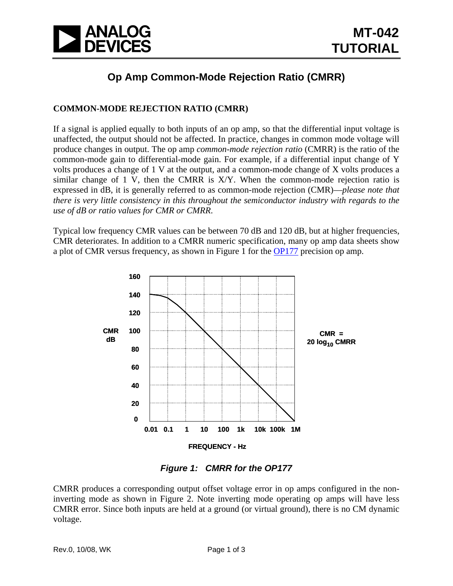

## **Op Amp Common-Mode Rejection Ratio (CMRR)**

## **COMMON-MODE REJECTION RATIO (CMRR)**

If a signal is applied equally to both inputs of an op amp, so that the differential input voltage is unaffected, the output should not be affected. In practice, changes in common mode voltage will produce changes in output. The op amp *common-mode rejection ratio* (CMRR) is the ratio of the common-mode gain to differential-mode gain. For example, if a differential input change of Y volts produces a change of 1 V at the output, and a common-mode change of X volts produces a similar change of 1 V, then the CMRR is X/Y. When the common-mode rejection ratio is expressed in dB, it is generally referred to as common-mode rejection (CMR)—*please note that there is very little consistency in this throughout the semiconductor industry with regards to the use of dB or ratio values for CMR or CMRR*.

Typical low frequency CMR values can be between 70 dB and 120 dB, but at higher frequencies, CMR deteriorates. In addition to a CMRR numeric specification, many op amp data sheets show a plot of CMR versus frequency, as shown in Figure 1 for the [OP177](http://www.analog.com/en/amplifiers-and-comparators/operational-amplifiers-op-amps/op177/products/product.html) precision op amp.



*Figure 1: CMRR for the OP177* 

CMRR produces a corresponding output offset voltage error in op amps configured in the noninverting mode as shown in Figure 2. Note inverting mode operating op amps will have less CMRR error. Since both inputs are held at a ground (or virtual ground), there is no CM dynamic voltage.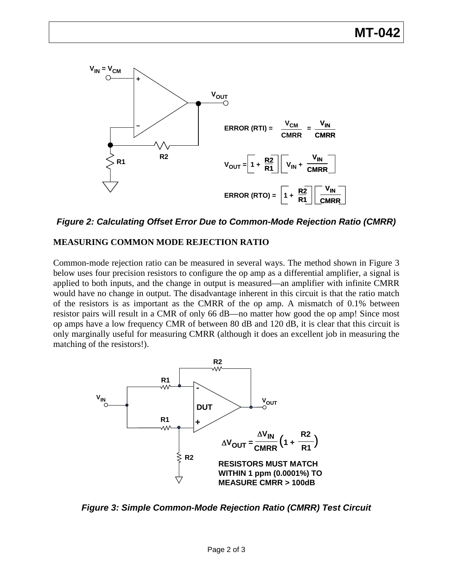

*Figure 2: Calculating Offset Error Due to Common-Mode Rejection Ratio (CMRR)* 

## **MEASURING COMMON MODE REJECTION RATIO**

Common-mode rejection ratio can be measured in several ways. The method shown in Figure 3 below uses four precision resistors to configure the op amp as a differential amplifier, a signal is applied to both inputs, and the change in output is measured—an amplifier with infinite CMRR would have no change in output. The disadvantage inherent in this circuit is that the ratio match of the resistors is as important as the CMRR of the op amp. A mismatch of 0.1% between resistor pairs will result in a CMR of only 66 dB—no matter how good the op amp! Since most op amps have a low frequency CMR of between 80 dB and 120 dB, it is clear that this circuit is only marginally useful for measuring CMRR (although it does an excellent job in measuring the matching of the resistors!).



*Figure 3: Simple Common-Mode Rejection Ratio (CMRR) Test Circuit*